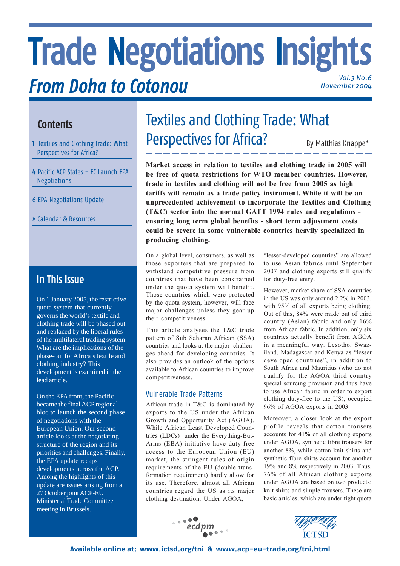# **Trade Negotiations Insights** *From Doha to Cotonou Vol.3 No.6 November 2004*

## **Contents**

- 1 Textiles and Clothing Trade: What Perspectives for Africa?
- 4 Pacific ACP States EC Launch EPA Negotiations
- 6 EPA Negotiations Update
- 8 Calendar & Resources

## **In This Issue**

On 1 January 2005, the restrictive quota system that currently governs the world's textile and clothing trade will be phased out and replaced by the liberal rules of the multilateral trading system. What are the implications of the phase-out for Africa's textile and clothing industry? This development is examined in the lead article.

On the EPA front, the Pacific became the final ACP regional bloc to launch the second phase of negotiations with the European Union. Our second article looks at the negotiating structure of the region and its priorities and challenges. Finally, the EPA update recaps developments across the ACP. Among the highlights of this update are issues arising from a 27 October joint ACP-EU Ministerial Trade Committee meeting in Brussels.

## Textiles and Clothing Trade: What Perspectives for Africa? By Matthias Knappe\*

**Market access in relation to textiles and clothing trade in 2005 will be free of quota restrictions for WTO member countries. However, trade in textiles and clothing will not be free from 2005 as high tariffs will remain as a trade policy instrument. While it will be an unprecedented achievement to incorporate the Textiles and Clothing (T&C) sector into the normal GATT 1994 rules and regulations ensuring long term global benefits - short term adjustment costs could be severe in some vulnerable countries heavily specialized in producing clothing.**

On a global level, consumers, as well as those exporters that are prepared to withstand competitive pressure from countries that have been constrained under the quota system will benefit. Those countries which were protected by the quota system, however, will face major challenges unless they gear up their competitiveness.

This article analyses the T&C trade pattern of Sub Saharan African (SSA) countries and looks at the major challenges ahead for developing countries. It also provides an outlook of the options available to African countries to improve competitiveness.

## Vulnerable Trade Patterns

African trade in T&C is dominated by exports to the US under the African Growth and Opportunity Act (AGOA). While African Least Developed Countries (LDCs) under the Everything-But-Arms (EBA) initiative have duty-free access to the European Union (EU) market, the stringent rules of origin requirements of the EU (double transformation requirement) hardly allow for its use. Therefore, almost all African countries regard the US as its major clothing destination. Under AGOA,

"lesser-developed countries" are allowed to use Asian fabrics until September 2007 and clothing exports still qualify for duty-free entry.

However, market share of SSA countries in the US was only around 2.2% in 2003, with 95% of all exports being clothing. Out of this, 84% were made out of third country (Asian) fabric and only 16% from African fabric. In addition, only six countries actually benefit from AGOA in a meaningful way. Lesotho, Swaziland, Madagascar and Kenya as "lesser developed countries", in addition to South Africa and Mauritius (who do not qualify for the AGOA third country special sourcing provision and thus have to use African fabric in order to export clothing duty-free to the US), occupied 96% of AGOA exports in 2003.

Moreover, a closer look at the export profile reveals that cotton trousers accounts for 41% of all clothing exports under AGOA, synthetic fibre trousers for another 8%, while cotton knit shirts and synthetic fibre shirts account for another 19% and 8% respectively in 2003. Thus, 76% of all African clothing exports under AGOA are based on two products: knit shirts and simple trousers. These are basic articles, which are under tight quota



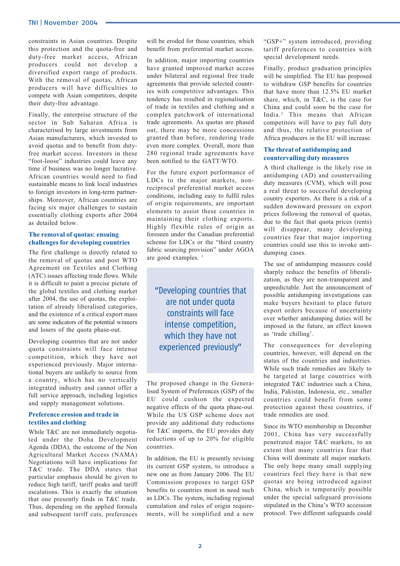constraints in Asian countries. Despite this protection and the quota-free and duty-free market access, African producers could not develop a diversified export range of products. With the removal of quotas, African producers will have difficulties to compete with Asian competitors, despite their duty-free advantage.

Finally, the enterprise structure of the sector in Sub Saharan Africa is characterised by large investments from Asian manufacturers, which invested to avoid quotas and to benefit from dutyfree market access. Investors in these "foot-loose" industries could leave any time if business was no longer lucrative. African countries would need to find sustainable means to link local industries to foreign investors in long-term partnerships. Moreover, African countries are facing six major challenges to sustain essentially clothing exports after 2004 as detailed below.

#### **The removal of quotas: ensuing challenges for developing countries**

The first challenge is directly related to the removal of quotas and post WTO Agreement on Textiles and Clothing (ATC) issues affecting trade flows. While it is difficult to paint a precise picture of the global textiles and clothing market after 2004, the use of quotas, the exploitation of already liberalised categories, and the existence of a critical export mass are some indicators of the potential winners and losers of the quota phase-out.

Developing countries that are not under quota constraints will face intense competition, which they have not experienced previously. Major international buyers are unlikely to source from a country, which has no vertically integrated industry and cannot offer a full service approach, including logistics and supply management solutions.

#### **Preference erosion and trade in textiles and clothing**

While T&C are not immediately negotiated under the Doha Development Agenda (DDA), the outcome of the Non Agricultural Market Access (NAMA) Negotiations will have implications for T&C trade. The DDA states that particular emphasis should be given to reduce high tariff, tariff peaks and tariff escalations. This is exactly the situation that one presently finds in T&C trade. Thus, depending on the applied formula and subsequent tariff cuts, preferences

will be eroded for those countries, which benefit from preferential market access.

In addition, major importing countries have granted improved market access under bilateral and regional free trade agreements that provide selected countries with competitive advantages. This tendency has resulted in regionalisation of trade in textiles and clothing and a complex patchwork of international trade agreements. As quotas are phased out, there may be more concessions granted than before, rendering trade even more complex. Overall, more than 280 regional trade agreements have been notified to the GATT/WTO.

For the future export performance of LDCs to the major markets, nonreciprocal preferential market access conditions, including easy to fulfil rules of origin requirements, are important elements to assist these countries in maintaining their clothing exports. Highly flexible rules of origin as foreseen under the Canadian preferential scheme for LDCs or the "third country fabric sourcing provision" under AGOA are good examples.<sup>1</sup>

"Developing countries that are not under quota constraints will face intense competition, which they have not experienced previously"

The proposed change in the Generalised System of Preferences (GSP) of the EU could cushion the expected negative effects of the quota phase-out. While the US GSP scheme does not provide any additional duty reductions for T&C imports, the EU provides duty reductions of up to 20% for eligible countries.

In addition, the EU is presently revising its current GSP system, to introduce a new one as from January 2006. The EU Commission proposes to target GSP benefits to countries most in need such as LDCs. The system, including regional cumulation and rules of origin requirements, will be simplified and a new

"GSP+" system introduced, providing tariff preferences to countries with special development needs.

Finally, product graduation principles will be simplified. The EU has proposed to withdraw GSP benefits for countries that have more than 12.5% EU market share, which, in T&C, is the case for China and could soon be the case for India.<sup>2</sup> This means that African competitors will have to pay full duty and thus, the relative protection of Africa producers in the EU will increase.

#### **The threat of antidumping and countervailing duty measures**

A third challenge is the likely rise in antidumping (AD) and countervailing duty measures (CVM), which will pose a real threat to successful developing country exporters. As there is a risk of a sudden downward pressure on export prices following the removal of quotas, due to the fact that quota prices (rents) will disappear, many developing countries fear that major importing countries could use this to invoke antidumping cases.

The use of antidumping measures could sharply reduce the benefits of liberalization, as they are non-transparent and unpredictable. Just the announcement of possible antidumping investigations can make buyers hesitant to place future export orders because of uncertainty over whether antidumping duties will be imposed in the future, an effect known as 'trade chilling'.

The consequences for developing countries, however, will depend on the status of the countries and industries. While such trade remedies are likely to be targeted at large countries with integrated T&C industries such a China, India, Pakistan, Indonesia, etc., smaller countries could benefit from some protection against these countries, if trade remedies are used.

Since its WTO membership in December 2001, China has very successfully penetrated major T&C markets, to an extent that many countries fear that China will dominate all major markets. The only hope many small supplying countries feel they have is that new quotas are being introduced against China, which is temporarily possible under the special safeguard provisions stipulated in the China's WTO accession protocol. Two different safeguards could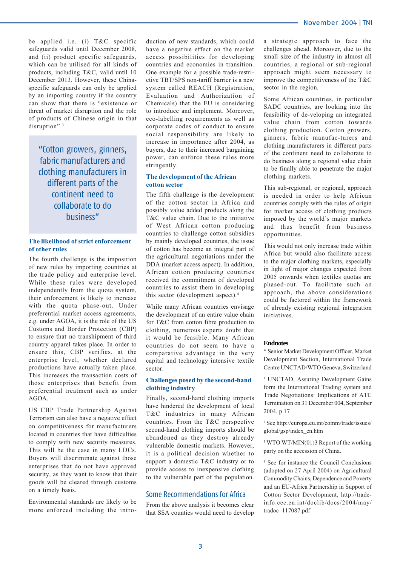be applied i.e. (i) T&C specific safeguards valid until December 2008, and (ii) product specific safeguards, which can be utilised for all kinds of products, including T&C, valid until 10 December 2013. However, these Chinaspecific safeguards can only be applied by an importing country if the country can show that there is "existence or threat of market disruption and the role of products of Chinese origin in that disruption".<sup>3</sup>

"Cotton growers, ginners, fabric manufacturers and clothing manufacturers in different parts of the continent need to collaborate to do business"

#### **The likelihood of strict enforcement of other rules**

The fourth challenge is the imposition of new rules by importing countries at the trade policy and enterprise level. While these rules were developed independently from the quota system, their enforcement is likely to increase with the quota phase-out. Under preferential market access agreements, e.g. under AGOA, it is the role of the US Customs and Border Protection (CBP) to ensure that no transhipment of third country apparel takes place. In order to ensure this, CBP verifies, at the enterprise level, whether declared productions have actually taken place. This increases the transaction costs of those enterprises that benefit from preferential treatment such as under AGOA.

US CBP Trade Partnership Against Terrorism can also have a negative effect on competitiveness for manufacturers located in countries that have difficulties to comply with new security measures. This will be the case in many LDCs. Buyers will discriminate against those enterprises that do not have approved security, as they want to know that their goods will be cleared through customs on a timely basis.

Environmental standards are likely to be more enforced including the intro-

duction of new standards, which could have a negative effect on the market access possibilities for developing countries and economies in transition. One example for a possible trade-restrictive TBT/SPS non-tariff barrier is a new system called REACH (Registration, Evaluation and Authorization of Chemicals) that the EU is considering to introduce and implement. Moreover, eco-labelling requirements as well as corporate codes of conduct to ensure social responsibility are likely to increase in importance after 2004, as buyers, due to their increased bargaining power, can enforce these rules more stringently.

#### **The development of the African cotton sector**

The fifth challenge is the development of the cotton sector in Africa and possibly value added products along the T&C value chain. Due to the initiative of West African cotton producing countries to challenge cotton subsidies by mainly developed countries, the issue of cotton has become an integral part of the agricultural negotiations under the DDA (market access aspect). In addition, African cotton producing countries received the commitment of developed countries to assist them in developing this sector (development aspect).4

While many African countries envisage the development of an entire value chain for T&C from cotton fibre production to clothing, numerous experts doubt that it would be feasible. Many African countries do not seem to have a comparative advantage in the very capital and technology intensive textile sector.

#### **Challenges posed by the second-hand clothing industry**

Finally, second-hand clothing imports have hindered the development of local T&C industries in many African countries. From the T&C perspective second-hand clothing imports should be abandoned as they destroy already vulnerable domestic markets. However, it is a political decision whether to support a domestic T&C industry or to provide access to inexpensive clothing to the vulnerable part of the population.

#### Some Recommendations for Africa

From the above analysis it becomes clear that SSA counties would need to develop a strategic approach to face the challenges ahead. Moreover, due to the small size of the industry in almost all countries, a regional or sub-regional approach might seem necessary to improve the competitiveness of the T&C sector in the region.

Some African countries, in particular SADC countries, are looking into the feasibility of de-veloping an integrated value chain from cotton towards clothing production. Cotton growers, ginners, fabric manufac-turers and clothing manufacturers in different parts of the continent need to collaborate to do business along a regional value chain to be finally able to penetrate the major clothing markets.

This sub-regional, or regional, approach is needed in order to help African countries comply with the rules of origin for market access of clothing products imposed by the world's major markets and thus benefit from business opportunities.

This would not only increase trade within Africa but would also facilitate access to the major clothing markets, especially in light of major changes expected from 2005 onwards when textiles quotas are phased-out. To facilitate such an approach, the above considerations could be factored within the framework of already existing regional integration initiatives.

#### **Endnotes**

\* Senior Market Development Officer, Market Development Section, International Trade Centre UNCTAD/WTO Geneva, Switzerland

<sup>1</sup> UNCTAD, Assuring Development Gains form the International Trading system and Trade Negotiations: Implications of ATC Termination on 31 December 004, September 2004. p 17

2 See http://europa.eu.int/comm/trade/issues/ global/gsp/index\_en.htm

3 WTO WT/MIN(01)3 Report of the working party on the accession of China.

4 See for instance the Council Conclusions (adopted on 27 April 2004) on Agricultural Commodity Chains, Dependence and Poverty and an EU-Africa Partnership in Support of Cotton Sector Development, http://tradeinfo.cec.eu.int/doclib/docs/2004/may/ tradoc\_117087.pdf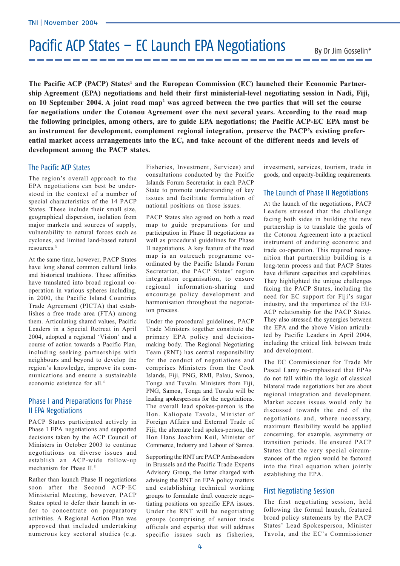# Pacific ACP States – EC Launch EPA Negotiations

The Pacific ACP (PACP) States<sup>1</sup> and the European Commission (EC) launched their Economic Partner**ship Agreement (EPA) negotiations and held their first ministerial-level negotiating session in Nadi, Fiji, on 10 September 2004. A joint road map2 was agreed between the two parties that will set the course for negotiations under the Cotonou Agreement over the next several years. According to the road map the following principles, among others, are to guide EPA negotiations; the Pacific ACP-EC EPA must be an instrument for development, complement regional integration, preserve the PACP's existing preferential market access arrangements into the EC, and take account of the different needs and levels of development among the PACP states.**

#### The Pacific ACP States

The region's overall approach to the EPA negotiations can best be understood in the context of a number of special characteristics of the 14 PACP States. These include their small size, geographical dispersion, isolation from major markets and sources of supply, vulnerability to natural forces such as cyclones, and limited land-based natural resources.3

At the same time, however, PACP States have long shared common cultural links and historical traditions. These affinities have translated into broad regional cooperation in various spheres including, in 2000, the Pacific Island Countries Trade Agreement (PICTA) that establishes a free trade area (FTA) among them. Articulating shared values, Pacific Leaders in a Special Retreat in April 2004, adopted a regional 'Vision' and a course of action towards a Pacific Plan, including seeking partnerships with neighbours and beyond to develop the region's knowledge, improve its communications and ensure a sustainable economic existence for all.4

## Phase I and Preparations for Phase II EPA Negotiations

PACP States participated actively in Phase I EPA negotiations and supported decisions taken by the ACP Council of Ministers in October 2003 to continue negotiations on diverse issues and establish an ACP-wide follow-up mechanism for Phase II.<sup>5</sup>

Rather than launch Phase II negotiations soon after the Second ACP-EC Ministerial Meeting, however, PACP States opted to defer their launch in order to concentrate on preparatory activities. A Regional Action Plan was approved that included undertaking numerous key sectoral studies (e.g.

Fisheries, Investment, Services) and consultations conducted by the Pacific Islands Forum Secretariat in each PACP State to promote understanding of key issues and facilitate formulation of national positions on those issues.

PACP States also agreed on both a road map to guide preparations for and participation in Phase II negotiations as well as procedural guidelines for Phase II negotiations. A key feature of the road map is an outreach programme coordinated by the Pacific Islands Forum Secretariat, the PACP States' region integration organisation, to ensure regional information-sharing and encourage policy development and harmonisation throughout the negotiation process.

Under the procedural guidelines, PACP Trade Ministers together constitute the primary EPA policy and decisionmaking body. The Regional Negotiating Team (RNT) has central responsibility for the conduct of negotiations and comprises Ministers from the Cook Islands, Fiji, PNG, RMI, Palau, Samoa, Tonga and Tuvalu. Ministers from Fiji, PNG, Samoa, Tonga and Tuvalu will be leading spokespersons for the negotiations. The overall lead spokes-person is the Hon. Kaliopate Tavola, Minister of Foreign Affairs and External Trade of Fiji; the alternate lead spokes-person, the Hon Hans Joachim Keil, Minister of Commerce, Industry and Labour of Samoa.

Supporting the RNT are PACP Ambassadors in Brussels and the Pacific Trade Experts Advisory Group, the latter charged with advising the RNT on EPA policy matters and establishing technical working groups to formulate draft concrete negotiating positions on specific EPA issues. Under the RNT will be negotiating groups (comprising of senior trade officials and experts) that will address specific issues such as fisheries, investment, services, tourism, trade in goods, and capacity-building requirements.

### The Launch of Phase II Negotiations

At the launch of the negotiations, PACP Leaders stressed that the challenge facing both sides in building the new partnership is to translate the goals of the Cotonou Agreement into a practical instrument of enduring economic and trade co-operation. This required recognition that partnership building is a long-term process and that PACP States have different capacities and capabilities. They highlighted the unique challenges facing the PACP States, including the need for EC support for Fiji's sugar industry, and the importance of the EU-ACP relationship for the PACP States. They also stressed the synergies between the EPA and the above Vision articulated by Pacific Leaders in April 2004, including the critical link between trade and development.

The EC Commissioner for Trade Mr Pascal Lamy re-emphasised that EPAs do not fall within the logic of classical bilateral trade negotiations but are about regional integration and development. Market access issues would only be discussed towards the end of the negotiations and, where necessary, maximum flexibility would be applied concerning, for example, asymmetry or transition periods. He ensured PACP States that the very special circumstances of the region would be factored into the final equation when jointly establishing the EPA.

### First Negotiating Session

The first negotiating session, held following the formal launch, featured broad policy statements by the PACP States' Lead Spokesperson, Minister Tavola, and the EC's Commissioner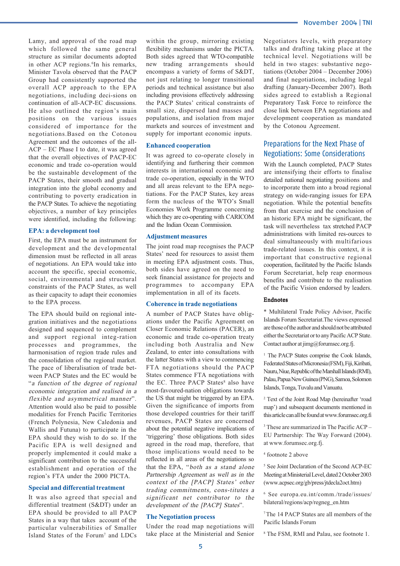Lamy, and approval of the road map which followed the same general structure as similar documents adopted in other ACP regions.<sup>6</sup>In his remarks, Minister Tavola observed that the PACP Group had consistently supported the overall ACP approach to the EPA negotiations, including deci-sions on continuation of all-ACP-EC discussions. He also outlined the region's main positions on the various issues considered of importance for the negotiations.Based on the Cotonou Agreement and the outcomes of the all-ACP – EC Phase I to date, it was agreed that the overall objectives of PACP-EC economic and trade co-operation would be the sustainable development of the PACP States, their smooth and gradual integration into the global economy and contributing to poverty eradication in the PACP States. To achieve the negotiating objectives, a number of key principles were identified, including the following:

#### **EPA: a development tool**

First, the EPA must be an instrument for development and the developmental dimension must be reflected in all areas of negotiations. An EPA would take into account the specific, special economic, social, environmental and structural constraints of the PACP States, as well as their capacity to adapt their economies to the EPA process.

The EPA should build on regional integration initiatives and the negotiations designed and sequenced to complement and support regional integ-ration processes and programmes, the harmonisation of region trade rules and the consolidation of the regional market. The pace of liberalisation of trade between PACP States and the EC would be "a function of the degree of regional economic integration and realised in a flexible and asymmetrical manner". Attention would also be paid to possible modalities for French Pacific Territories (French Polynesia, New Caledonia and Wallis and Futuna) to participate in the EPA should they wish to do so. If the Pacific EPA is well designed and properly implemented it could make a significant contribution to the successful establishment and operation of the region's FTA under the 2000 PICTA.

#### **Special and differential treatment**

It was also agreed that special and differential treatment (S&DT) under an EPA should be provided to all PACP States in a way that takes account of the particular vulnerabilities of Smaller Island States of the Forum<sup>7</sup> and LDCs

within the group, mirroring existing flexibility mechanisms under the PICTA. Both sides agreed that WTO-compatible new trading arrangements should encompass a variety of forms of S&DT, not just relating to longer transitional periods and technical assistance but also including provisions effectively addressing the PACP States' critical constraints of small size, dispersed land masses and populations, and isolation from major markets and sources of investment and supply for important economic inputs.

#### **Enhanced cooperation**

It was agreed to co-operate closely in identifying and furthering their common interests in international economic and trade co-operation, especially in the WTO and all areas relevant to the EPA negotiations. For the PACP States, key areas form the nucleus of the WTO's Small Economies Work Programme concerning which they are co-operating with CARICOM and the Indian Ocean Commission.

#### **Adjustment measures**

The joint road map recognises the PACP States' need for resources to assist them in meeting EPA adjustment costs. Thus, both sides have agreed on the need to seek financial assistance for projects and programmes to accompany EPA implementation in all of its facets.

#### **Coherence in trade negotiations**

A number of PACP States have obligations under the Pacific Agreement on Closer Economic Relations (PACER), an economic and trade co-operation treaty including both Australia and New Zealand, to enter into consultations with the latter States with a view to commencing FTA negotiations should the PACP States commence FTA negotiations with the EC. Three PACP States<sup>8</sup> also have most-favoured-nation obligations towards the US that might be triggered by an EPA. Given the significance of imports from those developed countries for their tariff revenues, PACP States are concerned about the potential negative implications of 'triggering' those obligations. Both sides agreed in the road map, therefore, that those implications would need to be reflected in all areas of the negotiations so that the EPA, "both as a stand alone Partnership Agreement as well as in the context of the [PACP] States' other trading commitments, cons-titutes a significant net contributor to the development of the [PACP] States".

#### **The Negotiation process**

Under the road map negotiations will take place at the Ministerial and Senior

Negotiators levels, with preparatory talks and drafting taking place at the technical level. Negotiations will be held in two stages: substantive negotiations (October 2004 – December 2006) and final negotiations, including legal drafting (January-December 2007). Both sides agreed to establish a Regional Preparatory Task Force to reinforce the close link between EPA negotiations and development cooperation as mandated by the Cotonou Agreement.

### Preparations for the Next Phase of Negotiations: Some Considerations

With the Launch completed, PACP States are intensifying their efforts to finalise detailed national negotiating positions and to incorporate them into a broad regional strategy on wide-ranging issues for EPA negotiation. While the potential benefits from that exercise and the conclusion of an historic EPA might be significant, the task will nevertheless tax stretched PACP administrations with limited res-ources to deal simultaneously with multifarious trade-related issues. In this context, it is important that constructive regional cooperation, facilitated by the Pacific Islands Forum Secretariat, help reap enormous benefits and contribute to the realisation of the Pacific Vision endorsed by leaders.

#### Endnotes

\* Multilateral Trade Policy Advisor, Pacific Islands Forum Secretariat.The views expressed are those of the author and should not be attributed either the Secretariat or to any Pacific ACP State. Contact author at jimg@forumsec.org.fj.

<sup>1</sup> The PACP States comprise the Cook Islands, Federated States of Micronesia (FSM), Fiji, Kiribati, Nauru, Niue, Republic of the Marshall Islands (RMI), Palau, Papua New Guinea (PNG), Samoa, Solomon Islands, Tonga, Tuvalu and Vanuatu.

2 Text of the Joint Road Map (hereinafter 'road map') and subsequent documents mentioned in this article can all be found at www.forumsec.org.fi

3 These are summarized in The Pacific ACP – EU Partnership: The Way Forward (2004). at www.forumsec.org.fj.

#### 4 footnote 2 above

5 See Joint Declaration of the Second ACP-EC Meeting at Ministerial Level, dated 2 October 2003 (www.acpsec.org/gb/press/jtdecla2oct.htm)

6 See europa.eu.int/comm./trade/issues/ bilateral/regions/acp/regneg\_en.htm

7 The 14 PACP States are all members of the Pacific Islands Forum

8 The FSM, RMI and Palau, see footnote 1.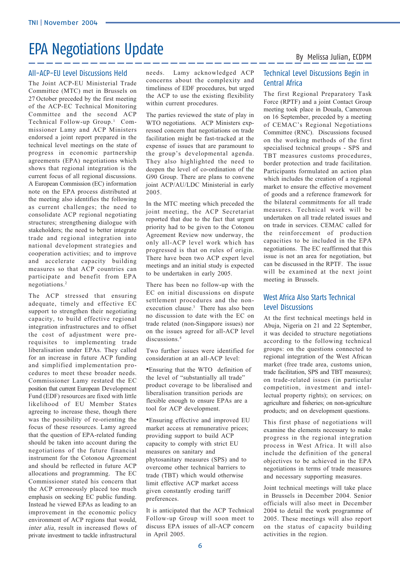## EPA Negotiations Update<br>By Melissa Julian, ECDPM

#### All-ACP-EU Level Discussions Held

The Joint ACP-EU Ministerial Trade Committee (MTC) met in Brussels on 27 October preceded by the first meeting of the ACP-EC Technical Monitoring Committee and the second ACP Technical Follow-up Group.<sup>1</sup> Commissioner Lamy and ACP Ministers endorsed a joint report prepared in the technical level meetings on the state of progress in economic partnership agreements (EPA) negotiations which shows that regional integration is the current focus of all regional discussions. A European Commission (EC) information note on the EPA process distributed at the meeting also identifies the following as current challenges; the need to consolidate ACP regional negotiating structures; strengthening dialogue with stakeholders; the need to better integrate trade and regional integration into national development strategies and cooperation activities; and to improve and accelerate capacity building measures so that ACP countries can participate and benefit from EPA negotiations.2

The ACP stressed that ensuring adequate, timely and effective EC support to strengthen their negotiating capacity, to build effective regional integration infrastructures and to offset the cost of adjustment were prerequisites to implementing trade liberalisation under EPAs. They called for an increase in future ACP funding and simplified implementation procedures to meet these broader needs. Commissioner Lamy restated the EC position that current European Development Fund (EDF) resources are fixed with little likelihood of EU Member States agreeing to increase these, though there was the possibility of re-orienting the focus of these resources. Lamy agreed that the question of EPA-related funding should be taken into account during the negotiations of the future financial instrument for the Cotonou Agreement and should be reflected in future ACP allocations and programming. The EC Commissioner stated his concern that the ACP erroneously placed too much emphasis on seeking EC public funding. Instead he viewed EPAs as leading to an improvement in the economic policy environment of ACP regions that would, inter alia, result in increased flows of private investment to tackle infrastructural needs. Lamy acknowledged ACP concerns about the complexity and timeliness of EDF procedures, but urged the ACP to use the existing flexibility within current procedures.

The parties reviewed the state of play in WTO negotiations. ACP Ministers expressed concern that negotiations on trade facilitation might be fast-tracked at the expense of issues that are paramount to the group's developmental agenda. They also highlighted the need to deepen the level of co-ordination of the G90 Group. There are plans to convene joint ACP/AU/LDC Ministerial in early 2005.

In the MTC meeting which preceded the joint meeting, the ACP Secretariat reported that due to the fact that urgent priority had to be given to the Cotonou Agreement Review now underway, the only all-ACP level work which has progressed is that on rules of origin. There have been two ACP expert level meetings and an initial study is expected to be undertaken in early 2005.

There has been no follow-up with the EC on initial discussions on dispute settlement procedures and the nonexecution clause.3 There has also been no discussion to date with the EC on trade related (non-Singapore issues) nor on the issues agreed for all-ACP level discussions.<sup>4</sup>

Two further issues were identified for consideration at an all-ACP level:

•Ensuring that the WTO definition of the level of "substantially all trade" product coverage to be liberalised and liberalisation transition periods are flexible enough to ensure EPAs are a tool for ACP development.

•Ensuring effective and improved EU market access at remunerative prices; providing support to build ACP capacity to comply with strict EU measures on sanitary and phytosanitary measures (SPS) and to overcome other technical barriers to trade (TBT) which would otherwise limit effective ACP market access given constantly eroding tariff preferences.

It is anticipated that the ACP Technical Follow-up Group will soon meet to discuss EPA issues of all-ACP concern in April 2005.

## Technical Level Discussions Begin in Central Africa

The first Regional Preparatory Task Force (RPTF) and a joint Contact Group meeting took place in Douala, Cameroun on 16 September, preceded by a meeting of CEMAC's Regional Negotiations Committee (RNC). Discussions focused on the working methods of the first specialised technical groups - SPS and TBT measures customs procedures, border protection and trade facilitation. Participants formulated an action plan which includes the creation of a regional market to ensure the effective movement of goods and a reference framework for the bilateral commitments for all trade measures. Technical work will be undertaken on all trade related issues and on trade in services. CEMAC called for the reinforcement of production capacities to be included in the EPA negotiations. The EC reaffirmed that this issue is not an area for negotiation, but can be discussed in the RPTF. The issue will be examined at the next joint meeting in Brussels.

## West Africa Also Starts Technical Level Discussions

At the first technical meetings held in Abuja, Nigeria on 21 and 22 September, it was decided to structure negotiations according to the following technical groups: on the questions connected to regional integration of the West African market (free trade area, customs union, trade facilitation, SPS and TBT measures); on trade-related issues (in particular competition, investment and intellectual property rights); on services; on agriculture and fisheries; on non-agriculture products; and on development questions.

This first phase of negotiations will examine the elements necessary to make progress in the regional integration process in West Africa. It will also include the definition of the general objectives to be achieved in the EPA negotiations in terms of trade measures and necessary supporting measures.

Joint technical meetings will take place in Brussels in December 2004. Senior officials will also meet in December 2004 to detail the work programme of 2005. These meetings will also report on the status of capacity building activities in the region.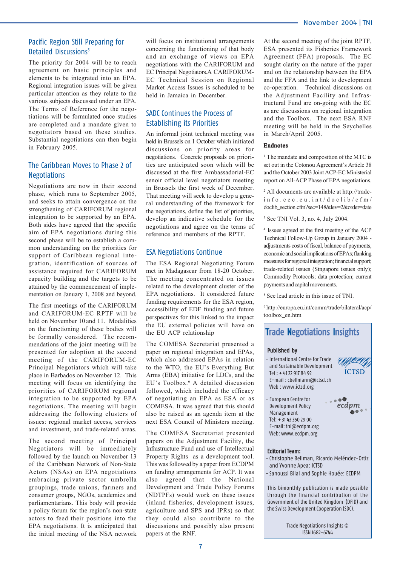## Pacific Region Still Preparing for Detailed Discussions<sup>5</sup>

The priority for 2004 will be to reach agreement on basic principles and elements to be integrated into an EPA. Regional integration issues will be given particular attention as they relate to the various subjects discussed under an EPA. The Terms of Reference for the negotiations will be formulated once studies are completed and a mandate given to negotiators based on these studies. Substantial negotiations can then begin in February 2005.

## The Caribbean Moves to Phase 2 of **Negotiations**

Negotiations are now in their second phase, which runs to September 2005, and seeks to attain convergence on the strengthening of CARIFORUM regional integration to be supported by an EPA. Both sides have agreed that the specific aim of EPA negotiations during this second phase will be to establish a common understanding on the priorities for support of Caribbean regional integration, identification of sources of assistance required for CARIFORUM capacity building and the targets to be attained by the commencement of implementation on January 1, 2008 and beyond.

The first meetings of the CARIFORUM and CARIFORUM-EC RPTF will be held on November 10 and 11. Modalities on the functioning of these bodies will be formally considered. The recommendations of the joint meeting will be presented for adoption at the second meeting of the CARIFORUM-EC Principal Negotiators which will take place in Barbados on November 12. This meeting will focus on identifying the priorities of CARIFORUM regional integration to be supported by EPA negotiations. The meeting will begin addressing the following clusters of issues: regional market access, services and investment, and trade-related areas.

The second meeting of Principal Negotiators will be immediately followed by the launch on November 13 of the Caribbean Network of Non-State Actors (NSAs) on EPA negotiations embracing private sector umbrella groupings, trade unions, farmers and consumer groups, NGOs, academics and parliamentarians. This body will provide a policy forum for the region's non-state actors to feed their positions into the EPA negotiations. It is anticipated that the initial meeting of the NSA network

will focus on institutional arrangements concerning the functioning of that body and an exchange of views on EPA negotiations with the CARIFORUM and EC Principal Negotiators.A CARIFORUM-EC Technical Session on Regional Market Access Issues is scheduled to be held in Jamaica in December.

## SADC Continues the Process of Establishing its Priorities

An informal joint technical meeting was held in Brussels on 1 October which initiated discussions on priority areas for negotiations. Concrete proposals on priorities are anticipated soon which will be discussed at the first Ambassadorial-EC senoir official level negotiators meeting in Brussels the first week of December. That meeting will seek to develop a general understanding of the framework for the negotiations, define the list of priorities, develop an indicative schedule for the negotiations and agree on the terms of reference and members of the RPTF.

## ESA Negotiations Continue

The ESA Regional Negotiating Forum met in Madagascar from 18-20 October. The meeting concentrated on issues related to the development cluster of the EPA negotiations. It considered future funding requirements for the ESA region, accessibility of EDF funding and future perspectives for this linked to the impact the EU external policies will have on the EU ACP relationship

The COMESA Secretariat presented a paper on regional integration and EPAs, which also addressed EPAs in relation to the WTO, the EU's Everything But Arms (EBA) initiative for LDCs, and the EU's Toolbox.6 A detailed discussion followed, which included the efficacy of negotiating an EPA as ESA or as COMESA. It was agreed that this should also be raised as an agenda item at the next ESA Council of Ministers meeting.

The COMESA Secretariat presented papers on the Adjustment Facility, the Infrastructure Fund and use of Intellectual Property Rights as a development tool. This was followed by a paper from ECDPM on funding arrangements for ACP. It was also agreed that the National Development and Trade Policy Forums (NDTPFs) would work on these issues (inland fisheries, development issues, agriculture and SPS and IPRs) so that they could also contribute to the discussions and possibly also present papers at the RNF.

At the second meeting of the joint RPTF, ESA presented its Fisheries Framework Agreement (FFA) proposals. The EC sought clarity on the nature of the paper and on the relationship between the EPA and the FFA and the link to development co-operation. Technical discussions on the Adjustment Facility and Infrastructural Fund are on-going with the EC as are discussions on regional integration and the Toolbox. The next ESA RNF meeting will be held in the Seychelles in March/April 2005.

#### Endnotes

<sup>1</sup> The mandate and composition of the MTC is set out in the Cotonou Agreement's Article 38 and the October 2003 Joint ACP-EC Ministerial report on All-ACP Phase of EPA negotiations.

2 All documents are available at http://tradeinfo.cec.eu.int/doclib/cfm/ doclib\_section.cfm?sec=148&lev=2&order=date

3 See TNI Vol. 3, no. 4, July 2004.

4 Issues agreed at the first meeting of the ACP Technical Follow-Up Group in January 2004 adjustments costs of fiscal, balance of payments, economic and social implications of EPAs; flanking measures for regional integration; financial support; trade-related issues (Singapore issues only); Commodity Protocols; data protection; current payments and capital movements.

5 See lead article in this issue of TNI.

6 http://europa.eu.int/comm/trade/bilateral/acp/ toolbox\_en.htm

## **Trade Negotiations Insights**

#### **Published by**

- International Centre for Trade and Sustainable Development Tel : + 41 22 917 84 92 E-mail : cbellmann@ictsd.ch Web : www.ictsd.org

- European Centre for Development Policy Management Tel: + 31 43 350 29 00 E-mail: tni@ecdpm.org



**ICTSD** 

Web: www.ecdpm.org



#### **Editorial Team:**

- Christophe Bellman, Ricardo Meléndez-Ortiz and Yvonne Apea: ICTSD
- Sanoussi Bilal and Sophie Houée: ECDPM

This bimonthly publication is made possible through the financial contribution of the Government of the United Kingdom (DFID) and the Swiss Development Cooperation (SDC).

> Trade Negotiations Insights © ISSN 1682-6744